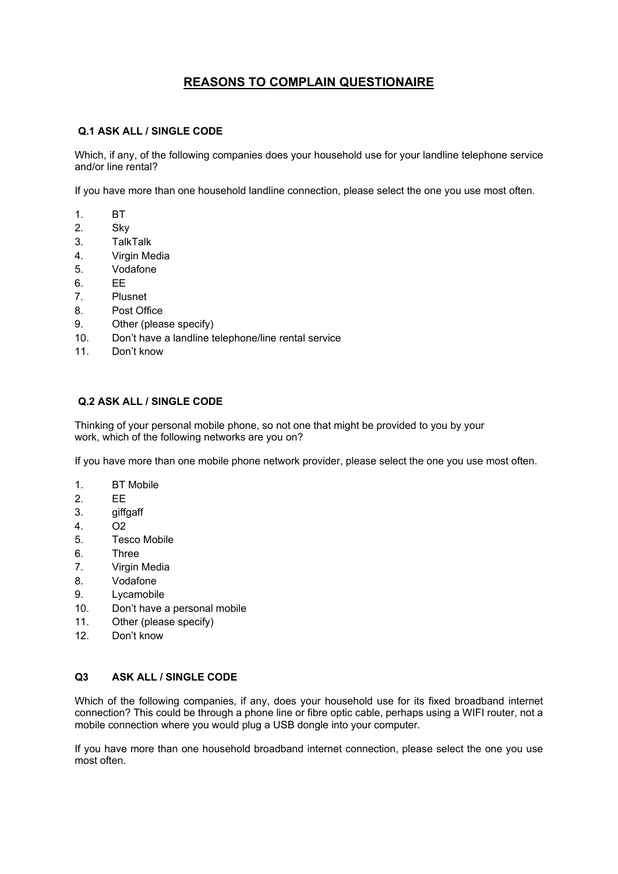# **REASONS TO COMPLAIN QUESTIONAIRE**

# **Q.1 ASK ALL / SINGLE CODE**

Which, if any, of the following companies does your household use for your landline telephone service and/or line rental?

If you have more than one household landline connection, please select the one you use most often.

- 1. BT
- 2. Sky
- 3. TalkTalk
- 4. Virgin Media
- 5. Vodafone
- 6. EE
- 7. Plusnet
- 8. Post Office
- 9. Other (please specify)
- 10. Don't have a landline telephone/line rental service
- 11. Don't know

# **Q.2 ASK ALL / SINGLE CODE**

Thinking of your personal mobile phone, so not one that might be provided to you by your work, which of the following networks are you on?

If you have more than one mobile phone network provider, please select the one you use most often.

- 1. BT Mobile
- 2. EE
- 3. giffgaff
- 4. O2
- 5. Tesco Mobile
- 6. Three
- 7. Virgin Media
- 8. Vodafone
- 9. Lycamobile
- 10. Don't have a personal mobile
- 11. Other (please specify)
- 12. Don't know

# **Q3 ASK ALL / SINGLE CODE**

Which of the following companies, if any, does your household use for its fixed broadband internet connection? This could be through a phone line or fibre optic cable, perhaps using a WIFI router, not a mobile connection where you would plug a USB dongle into your computer.

If you have more than one household broadband internet connection, please select the one you use most often.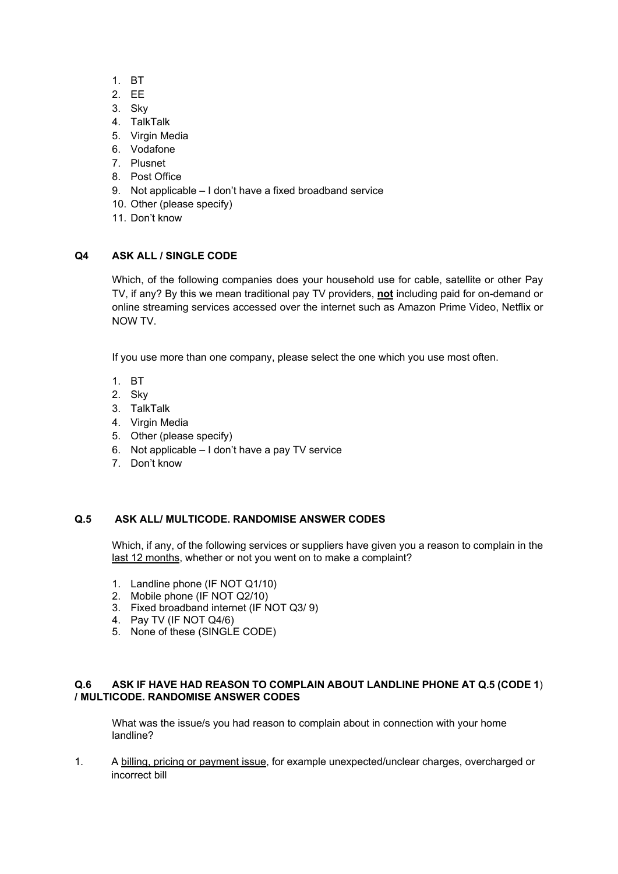- 1. BT
- 2. EE
- 3. Sky
- 4. TalkTalk
- 5. Virgin Media
- 6. Vodafone
- 7. Plusnet
- 8. Post Office
- 9. Not applicable I don't have a fixed broadband service
- 10. Other (please specify)
- 11. Don't know

# **Q4 ASK ALL / SINGLE CODE**

Which, of the following companies does your household use for cable, satellite or other Pay TV, if any? By this we mean traditional pay TV providers, **not** including paid for on-demand or online streaming services accessed over the internet such as Amazon Prime Video, Netflix or NOW TV.

If you use more than one company, please select the one which you use most often.

- 1. BT
- 2. Sky
- 3. TalkTalk
- 4. Virgin Media
- 5. Other (please specify)
- 6. Not applicable I don't have a pay TV service
- 7. Don't know

# **Q.5 ASK ALL/ MULTICODE. RANDOMISE ANSWER CODES**

Which, if any, of the following services or suppliers have given you a reason to complain in the last 12 months, whether or not you went on to make a complaint?

- 1. Landline phone (IF NOT Q1/10)
- 2. Mobile phone (IF NOT Q2/10)
- 3. Fixed broadband internet (IF NOT Q3/ 9)
- 4. Pay TV (IF NOT Q4/6)
- 5. None of these (SINGLE CODE)

#### **Q.6 ASK IF HAVE HAD REASON TO COMPLAIN ABOUT LANDLINE PHONE AT Q.5 (CODE 1**) **/ MULTICODE. RANDOMISE ANSWER CODES**

What was the issue/s you had reason to complain about in connection with your home landline?

1. A billing, pricing or payment issue, for example unexpected/unclear charges, overcharged or incorrect bill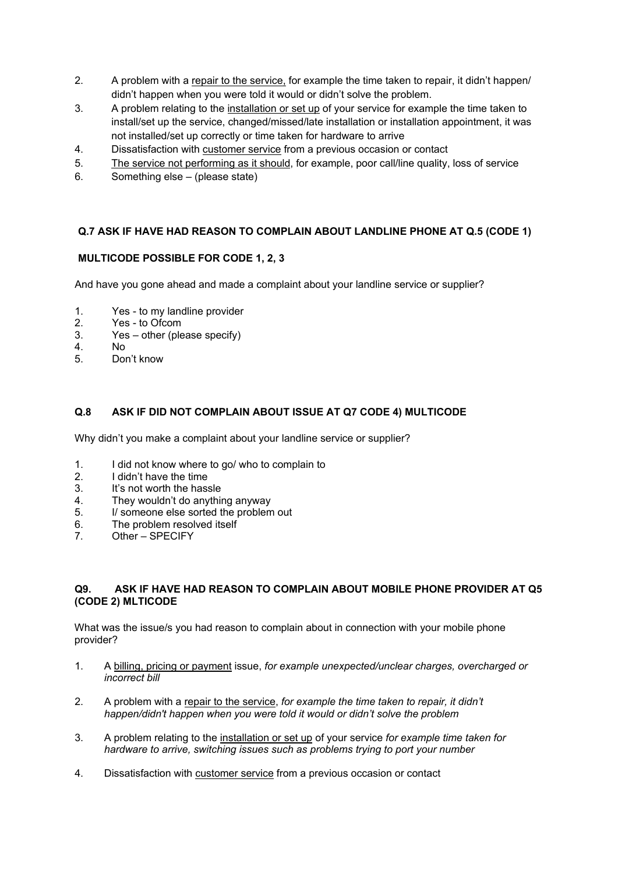- 2. A problem with a repair to the service, for example the time taken to repair, it didn't happen/ didn't happen when you were told it would or didn't solve the problem.
- 3. A problem relating to the installation or set up of your service for example the time taken to install/set up the service, changed/missed/late installation or installation appointment, it was not installed/set up correctly or time taken for hardware to arrive
- 4. Dissatisfaction with customer service from a previous occasion or contact
- 5. The service not performing as it should, for example, poor call/line quality, loss of service
- 6. Something else (please state)

# **Q.7 ASK IF HAVE HAD REASON TO COMPLAIN ABOUT LANDLINE PHONE AT Q.5 (CODE 1)**

# **MULTICODE POSSIBLE FOR CODE 1, 2, 3**

And have you gone ahead and made a complaint about your landline service or supplier?

- 1. Yes to my landline provider
- 2. Yes to Ofcom<br>3. Yes other (ple
- 3. Yes other (please specify)<br>4. No
- N<sub>o</sub>
- 5. Don't know

# **Q.8 ASK IF DID NOT COMPLAIN ABOUT ISSUE AT Q7 CODE 4) MULTICODE**

Why didn't you make a complaint about your landline service or supplier?

- 1. I did not know where to go/ who to complain to<br>2. I didn't have the time
- I didn't have the time
- 3. It's not worth the hassle
- 4. They wouldn't do anything anyway
- 5. I/ someone else sorted the problem out
- 6. The problem resolved itself
- 7. Other SPECIFY

#### **Q9. ASK IF HAVE HAD REASON TO COMPLAIN ABOUT MOBILE PHONE PROVIDER AT Q5 (CODE 2) MLTICODE**

What was the issue/s you had reason to complain about in connection with your mobile phone provider?

- 1. A billing, pricing or payment issue, *for example unexpected/unclear charges, overcharged or incorrect bill*
- 2. A problem with a repair to the service, *for example the time taken to repair, it didn't happen/didn't happen when you were told it would or didn't solve the problem*
- 3. A problem relating to the installation or set up of your service *for example time taken for hardware to arrive, switching issues such as problems trying to port your number*
- 4. Dissatisfaction with customer service from a previous occasion or contact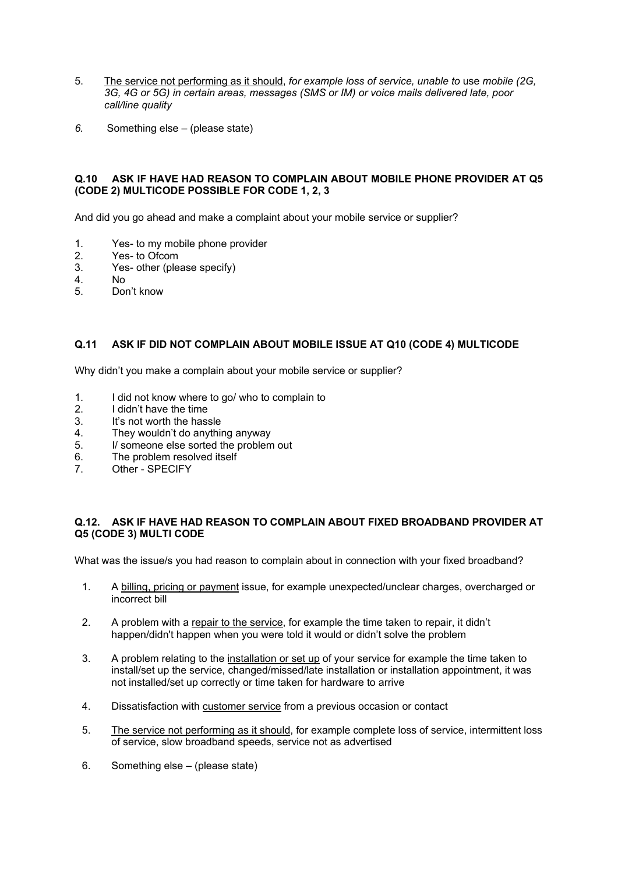- 5. The service not performing as it should, *for example loss of service, unable to* use *mobile (2G, 3G, 4G or 5G) in certain areas, messages (SMS or IM) or voice mails delivered late, poor call/line quality*
- *6.* Something else (please state)

#### **Q.10 ASK IF HAVE HAD REASON TO COMPLAIN ABOUT MOBILE PHONE PROVIDER AT Q5 (CODE 2) MULTICODE POSSIBLE FOR CODE 1, 2, 3**

And did you go ahead and make a complaint about your mobile service or supplier?

- 1. Yes- to my mobile phone provider<br>2. Yes- to Ofcom
- Yes- to Ofcom
- 3. Yes- other (please specify)
- 4. No
- Don't know

# **Q.11 ASK IF DID NOT COMPLAIN ABOUT MOBILE ISSUE AT Q10 (CODE 4) MULTICODE**

Why didn't you make a complain about your mobile service or supplier?

- 1. I did not know where to go/ who to complain to
- 2. I didn't have the time
- 3. It's not worth the hassle
- 4. They wouldn't do anything anyway
- 5. I/ someone else sorted the problem out
- 6. The problem resolved itself
- 7. Other SPECIFY

# **Q.12. ASK IF HAVE HAD REASON TO COMPLAIN ABOUT FIXED BROADBAND PROVIDER AT Q5 (CODE 3) MULTI CODE**

What was the issue/s you had reason to complain about in connection with your fixed broadband?

- 1. A billing, pricing or payment issue, for example unexpected/unclear charges, overcharged or incorrect bill
- 2. A problem with a repair to the service, for example the time taken to repair, it didn't happen/didn't happen when you were told it would or didn't solve the problem
- 3. A problem relating to the installation or set up of your service for example the time taken to install/set up the service, changed/missed/late installation or installation appointment, it was not installed/set up correctly or time taken for hardware to arrive
- 4. Dissatisfaction with customer service from a previous occasion or contact
- 5. The service not performing as it should, for example complete loss of service, intermittent loss of service, slow broadband speeds, service not as advertised
- 6. Something else (please state)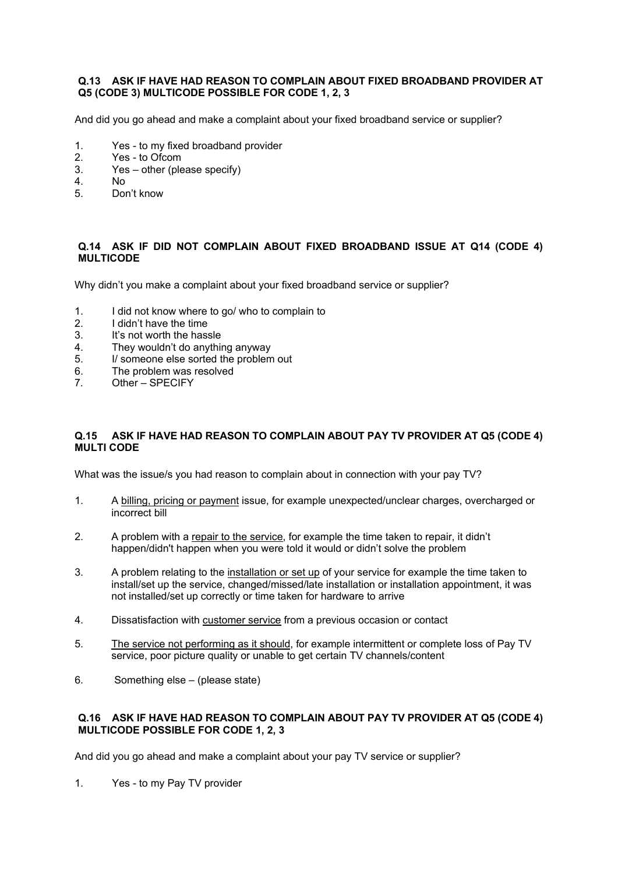#### **Q.13 ASK IF HAVE HAD REASON TO COMPLAIN ABOUT FIXED BROADBAND PROVIDER AT Q5 (CODE 3) MULTICODE POSSIBLE FOR CODE 1, 2, 3**

And did you go ahead and make a complaint about your fixed broadband service or supplier?

- 1. Yes to my fixed broadband provider<br>2. Yes to Ofcom
- Yes to Ofcom
- 3. Yes other (please specify)
- 4. No.<br>5 Dou
- Don't know

# **Q.14 ASK IF DID NOT COMPLAIN ABOUT FIXED BROADBAND ISSUE AT Q14 (CODE 4) MULTICODE**

Why didn't you make a complaint about your fixed broadband service or supplier?

- 1. I did not know where to go/ who to complain to
- 2. I didn't have the time<br>3. It's not worth the hase
- 3. It's not worth the hassle<br>4. They wouldn't do anythi
- They wouldn't do anything anyway
- 5. I/ someone else sorted the problem out<br>6. The problem was resolved
- 6. The problem was resolved<br>7 Other SPECIEY
- Other SPECIFY

# **Q.15 ASK IF HAVE HAD REASON TO COMPLAIN ABOUT PAY TV PROVIDER AT Q5 (CODE 4) MULTI CODE**

What was the issue/s you had reason to complain about in connection with your pay TV?

- 1. A billing, pricing or payment issue, for example unexpected/unclear charges, overcharged or incorrect bill
- 2. A problem with a repair to the service, for example the time taken to repair, it didn't happen/didn't happen when you were told it would or didn't solve the problem
- 3. A problem relating to the installation or set up of your service for example the time taken to install/set up the service, changed/missed/late installation or installation appointment, it was not installed/set up correctly or time taken for hardware to arrive
- 4. Dissatisfaction with customer service from a previous occasion or contact
- 5. The service not performing as it should, for example intermittent or complete loss of Pay TV service, poor picture quality or unable to get certain TV channels/content
- 6. Something else (please state)

# **Q.16 ASK IF HAVE HAD REASON TO COMPLAIN ABOUT PAY TV PROVIDER AT Q5 (CODE 4) MULTICODE POSSIBLE FOR CODE 1, 2, 3**

And did you go ahead and make a complaint about your pay TV service or supplier?

1. Yes - to my Pay TV provider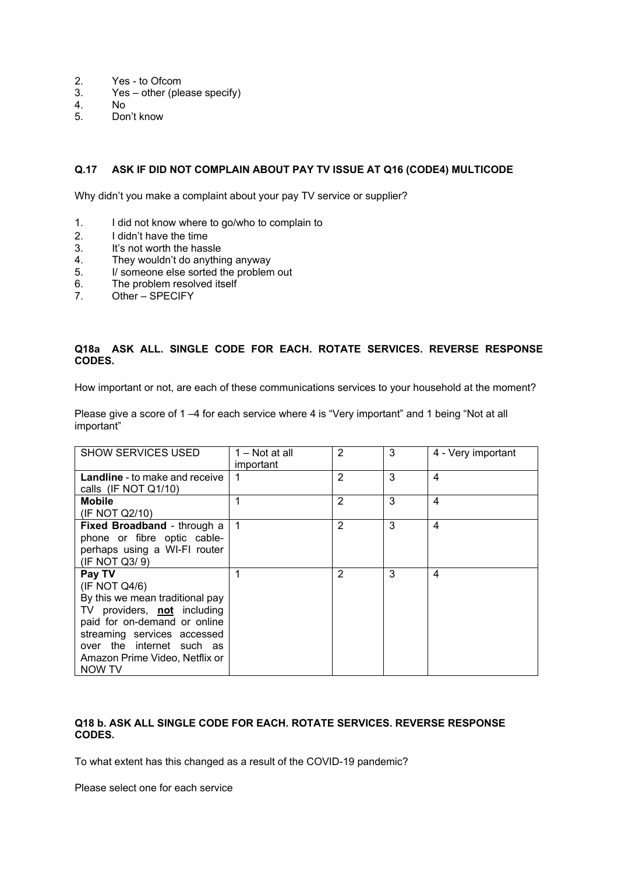- 2. Yes to Ofcom<br>3. Yes other (ple
- Yes other (please specify)
- 4. No
- 5. Don't know

# **Q.17 ASK IF DID NOT COMPLAIN ABOUT PAY TV ISSUE AT Q16 (CODE4) MULTICODE**

Why didn't you make a complaint about your pay TV service or supplier?

- 1. I did not know where to go/who to complain to
- 2. I didn't have the time<br>3. It's not worth the hase
- 3. It's not worth the hassle<br>4. They wouldn't do anything
- 4. They wouldn't do anything anyway<br>5. I/ someone else sorted the problem
- I/ someone else sorted the problem out
- 6. The problem resolved itself<br>7. Other SPECIFY
- Other SPECIFY

# **Q18a ASK ALL. SINGLE CODE FOR EACH. ROTATE SERVICES. REVERSE RESPONSE CODES.**

How important or not, are each of these communications services to your household at the moment?

Please give a score of 1 –4 for each service where 4 is "Very important" and 1 being "Not at all important"

| <b>SHOW SERVICES USED</b>             | 1 – Not at all<br>important | $\overline{2}$ | 3 | 4 - Very important |
|---------------------------------------|-----------------------------|----------------|---|--------------------|
| <b>Landline</b> - to make and receive |                             | 2              | 3 | $\overline{4}$     |
| calls (IF NOT Q1/10)                  |                             |                |   |                    |
| <b>Mobile</b>                         |                             | 2              | 3 | 4                  |
| (IF NOT Q2/10)                        |                             |                |   |                    |
| Fixed Broadband - through a           | 1                           | 2              | 3 | $\overline{4}$     |
| phone or fibre optic cable-           |                             |                |   |                    |
| perhaps using a WI-FI router          |                             |                |   |                    |
| (IF NOT Q3/9)                         |                             |                |   |                    |
| Pay TV                                |                             | 2              | 3 | 4                  |
| (IF NOT Q4/6)                         |                             |                |   |                    |
| By this we mean traditional pay       |                             |                |   |                    |
| TV providers, not including           |                             |                |   |                    |
| paid for on-demand or online          |                             |                |   |                    |
| streaming services accessed           |                             |                |   |                    |
| over the internet such as             |                             |                |   |                    |
| Amazon Prime Video, Netflix or        |                             |                |   |                    |
| NOW TV                                |                             |                |   |                    |

#### **Q18 b. ASK ALL SINGLE CODE FOR EACH. ROTATE SERVICES. REVERSE RESPONSE CODES.**

To what extent has this changed as a result of the COVID-19 pandemic?

Please select one for each service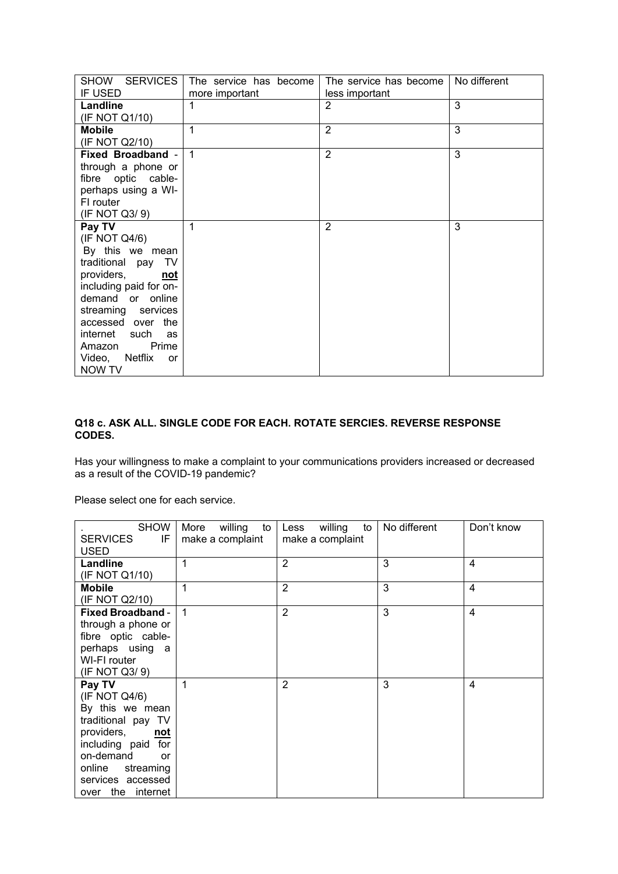| SHOW SERVICES            | The service has become | The service has become | No different |
|--------------------------|------------------------|------------------------|--------------|
| IF USED                  | more important         | less important         |              |
| Landline                 | 1                      | $\overline{2}$         | 3            |
| (IF NOT Q1/10)           |                        |                        |              |
| <b>Mobile</b>            | $\mathbf 1$            | $\overline{2}$         | 3            |
| (IF NOT Q2/10)           |                        |                        |              |
| Fixed Broadband -        | $\overline{1}$         | $\overline{2}$         | 3            |
| through a phone or       |                        |                        |              |
| fibre optic cable-       |                        |                        |              |
| perhaps using a WI-      |                        |                        |              |
| FI router                |                        |                        |              |
| (IF NOT Q3/9)            |                        |                        |              |
| Pay TV                   | 1                      | 2                      | 3            |
| (IF NOT Q4/6)            |                        |                        |              |
| By this we mean          |                        |                        |              |
| traditional pay TV       |                        |                        |              |
| providers,<br><u>not</u> |                        |                        |              |
| including paid for on-   |                        |                        |              |
| demand or online         |                        |                        |              |
| streaming services       |                        |                        |              |
| accessed over the        |                        |                        |              |
| internet such<br>as      |                        |                        |              |
| Prime<br>Amazon          |                        |                        |              |
| Video, Netflix<br>or     |                        |                        |              |
| <b>NOW TV</b>            |                        |                        |              |

# **Q18 c. ASK ALL. SINGLE CODE FOR EACH. ROTATE SERCIES. REVERSE RESPONSE CODES.**

Has your willingness to make a complaint to your communications providers increased or decreased as a result of the COVID-19 pandemic?

Please select one for each service.

| <b>SHOW</b><br>IF<br><b>SERVICES</b><br><b>USED</b>                                                                                                                                                    | willing to  <br>More<br>make a complaint | Less willing<br>to<br>make a complaint | No different | Don't know              |
|--------------------------------------------------------------------------------------------------------------------------------------------------------------------------------------------------------|------------------------------------------|----------------------------------------|--------------|-------------------------|
| Landline<br>(IF NOT Q1/10)                                                                                                                                                                             | 1                                        | $\overline{2}$                         | 3            | 4                       |
| <b>Mobile</b><br>(IF NOT Q2/10)                                                                                                                                                                        |                                          | $\overline{2}$                         | 3            | 4                       |
| <b>Fixed Broadband -</b><br>through a phone or<br>fibre optic cable-<br>perhaps using a<br>WI-FI router<br>(IF NOT Q3/9)                                                                               | 1                                        | $\overline{2}$                         | 3            | $\overline{\mathbf{4}}$ |
| Pay TV<br>(IF NOT Q4/6)<br>By this we mean<br>traditional pay TV<br>providers,<br><u>not</u><br>including paid for<br>on-demand<br>or<br>online<br>streaming<br>services accessed<br>over the internet | 1                                        | $\overline{2}$                         | 3            | 4                       |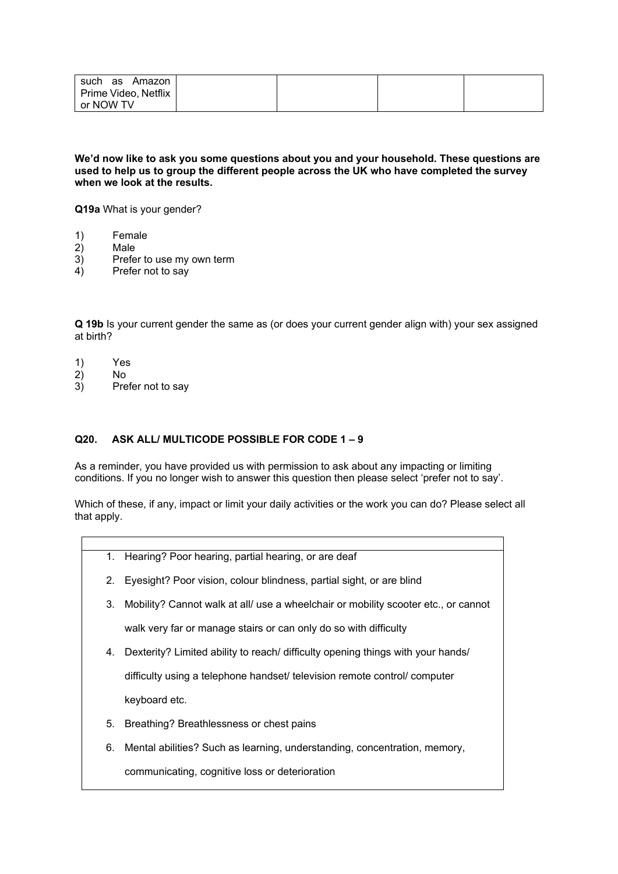| such<br>Amazon<br>as |  |  |
|----------------------|--|--|
| Prime Video, Netflix |  |  |
| or NOW TV            |  |  |

**We'd now like to ask you some questions about you and your household. These questions are used to help us to group the different people across the UK who have completed the survey when we look at the results.**

**Q19a** What is your gender?

- 1) Female
- 2) Male
- 3) Prefer to use my own term<br>4) Prefer not to say
- Prefer not to say

**Q 19b** Is your current gender the same as (or does your current gender align with) your sex assigned at birth?

- 1) Yes
- 2) No
- Prefer not to say

# **Q20. ASK ALL/ MULTICODE POSSIBLE FOR CODE 1 – 9**

As a reminder, you have provided us with permission to ask about any impacting or limiting conditions. If you no longer wish to answer this question then please select 'prefer not to say'.

Which of these, if any, impact or limit your daily activities or the work you can do? Please select all that apply.

- 1. Hearing? Poor hearing, partial hearing, or are deaf
- 2. Eyesight? Poor vision, colour blindness, partial sight, or are blind
- 3. Mobility? Cannot walk at all/ use a wheelchair or mobility scooter etc., or cannot

walk very far or manage stairs or can only do so with difficulty

4. Dexterity? Limited ability to reach/ difficulty opening things with your hands/

difficulty using a telephone handset/ television remote control/ computer

keyboard etc.

- 5. Breathing? Breathlessness or chest pains
- 6. Mental abilities? Such as learning, understanding, concentration, memory,

communicating, cognitive loss or deterioration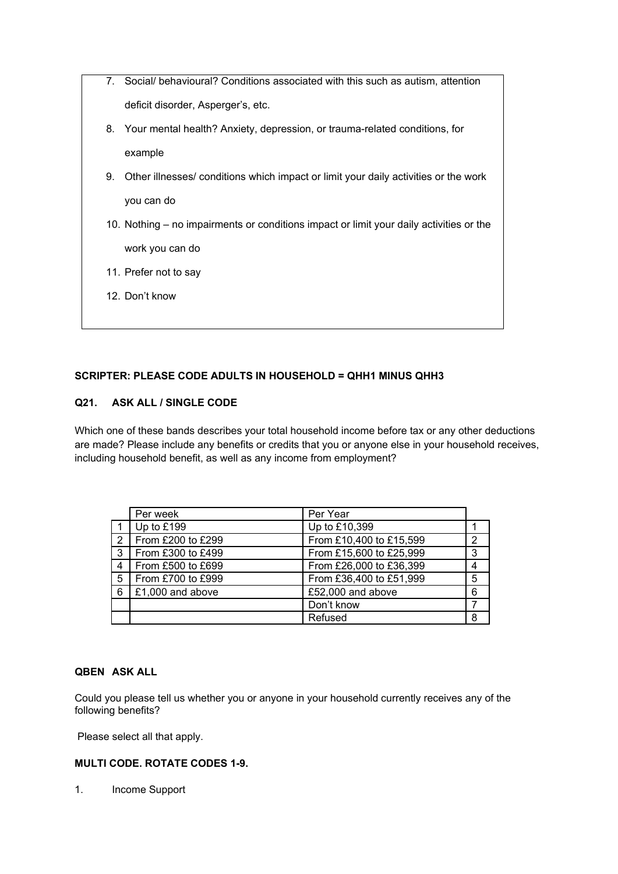- 7. Social/ behavioural? Conditions associated with this such as autism, attention deficit disorder, Asperger's, etc. 8. Your mental health? Anxiety, depression, or trauma-related conditions, for example 9. Other illnesses/ conditions which impact or limit your daily activities or the work you can do 10. Nothing – no impairments or conditions impact or limit your daily activities or the work you can do
	- 11. Prefer not to say
	- 12. Don't know

# **SCRIPTER: PLEASE CODE ADULTS IN HOUSEHOLD = QHH1 MINUS QHH3**

# **Q21. ASK ALL / SINGLE CODE**

Which one of these bands describes your total household income before tax or any other deductions are made? Please include any benefits or credits that you or anyone else in your household receives, including household benefit, as well as any income from employment?

|                | Per week          | Per Year                |   |
|----------------|-------------------|-------------------------|---|
|                | Up to £199        | Up to £10,399           |   |
| 2              | From £200 to £299 | From £10,400 to £15,599 | 2 |
| $\mathbf{3}$   | From £300 to £499 | From £15,600 to £25,999 | 3 |
| $\overline{4}$ | From £500 to £699 | From £26,000 to £36,399 |   |
| 5              | From £700 to £999 | From £36,400 to £51,999 | 5 |
| 6              | £1,000 and above  | £52,000 and above       | 6 |
|                |                   | Don't know              |   |
|                |                   | Refused                 | 8 |

# **QBEN ASK ALL**

Could you please tell us whether you or anyone in your household currently receives any of the following benefits?

Please select all that apply.

# **MULTI CODE. ROTATE CODES 1-9.**

1. Income Support